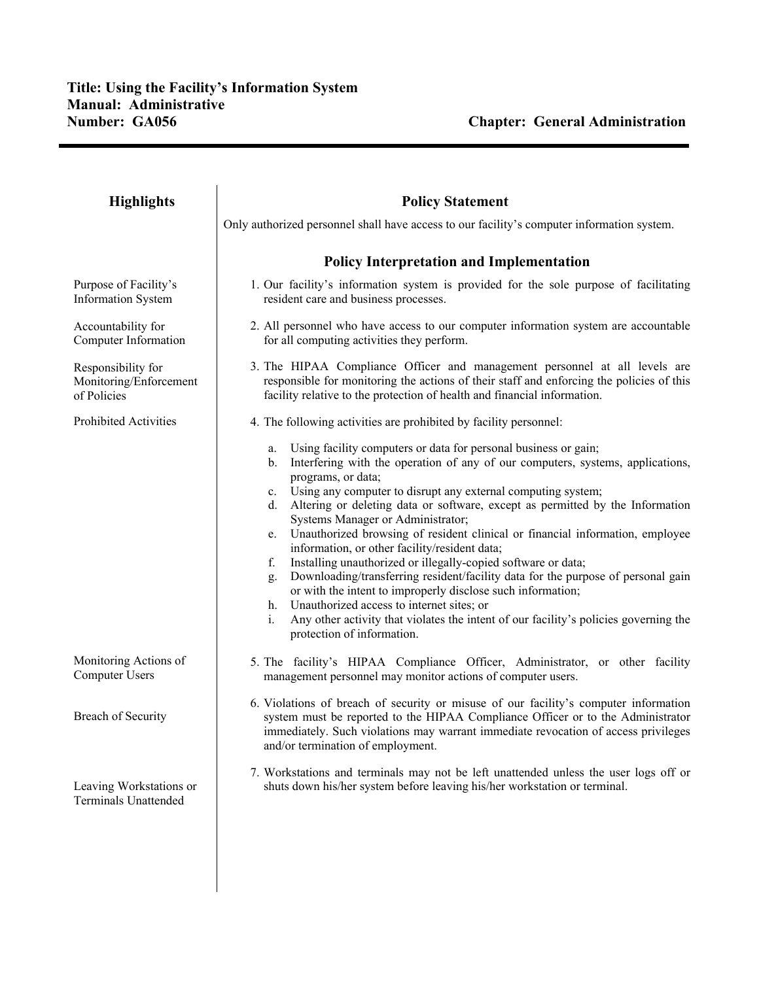| <b>Highlights</b>                                           | <b>Policy Statement</b>                                                                                                                                                                                                                                                                                                                                                                                                                                                                                                                                                                                                                                                                                                                                                                                                                                                                                                                                    |
|-------------------------------------------------------------|------------------------------------------------------------------------------------------------------------------------------------------------------------------------------------------------------------------------------------------------------------------------------------------------------------------------------------------------------------------------------------------------------------------------------------------------------------------------------------------------------------------------------------------------------------------------------------------------------------------------------------------------------------------------------------------------------------------------------------------------------------------------------------------------------------------------------------------------------------------------------------------------------------------------------------------------------------|
|                                                             | Only authorized personnel shall have access to our facility's computer information system.                                                                                                                                                                                                                                                                                                                                                                                                                                                                                                                                                                                                                                                                                                                                                                                                                                                                 |
|                                                             | <b>Policy Interpretation and Implementation</b>                                                                                                                                                                                                                                                                                                                                                                                                                                                                                                                                                                                                                                                                                                                                                                                                                                                                                                            |
| Purpose of Facility's<br><b>Information System</b>          | 1. Our facility's information system is provided for the sole purpose of facilitating<br>resident care and business processes.                                                                                                                                                                                                                                                                                                                                                                                                                                                                                                                                                                                                                                                                                                                                                                                                                             |
| Accountability for<br>Computer Information                  | 2. All personnel who have access to our computer information system are accountable<br>for all computing activities they perform.                                                                                                                                                                                                                                                                                                                                                                                                                                                                                                                                                                                                                                                                                                                                                                                                                          |
| Responsibility for<br>Monitoring/Enforcement<br>of Policies | 3. The HIPAA Compliance Officer and management personnel at all levels are<br>responsible for monitoring the actions of their staff and enforcing the policies of this<br>facility relative to the protection of health and financial information.                                                                                                                                                                                                                                                                                                                                                                                                                                                                                                                                                                                                                                                                                                         |
| Prohibited Activities                                       | 4. The following activities are prohibited by facility personnel:                                                                                                                                                                                                                                                                                                                                                                                                                                                                                                                                                                                                                                                                                                                                                                                                                                                                                          |
|                                                             | Using facility computers or data for personal business or gain;<br>a.<br>Interfering with the operation of any of our computers, systems, applications,<br>$b_{-}$<br>programs, or data;<br>Using any computer to disrupt any external computing system;<br>$c_{\cdot}$<br>Altering or deleting data or software, except as permitted by the Information<br>d.<br>Systems Manager or Administrator;<br>Unauthorized browsing of resident clinical or financial information, employee<br>e.<br>information, or other facility/resident data;<br>Installing unauthorized or illegally-copied software or data;<br>f.<br>Downloading/transferring resident/facility data for the purpose of personal gain<br>g.<br>or with the intent to improperly disclose such information;<br>Unauthorized access to internet sites; or<br>h.<br>Any other activity that violates the intent of our facility's policies governing the<br>i.<br>protection of information. |
| Monitoring Actions of<br>Computer Users                     | 5. The facility's HIPAA Compliance Officer, Administrator, or other facility<br>management personnel may monitor actions of computer users.                                                                                                                                                                                                                                                                                                                                                                                                                                                                                                                                                                                                                                                                                                                                                                                                                |
| Breach of Security                                          | 6. Violations of breach of security or misuse of our facility's computer information<br>system must be reported to the HIPAA Compliance Officer or to the Administrator<br>immediately. Such violations may warrant immediate revocation of access privileges<br>and/or termination of employment.                                                                                                                                                                                                                                                                                                                                                                                                                                                                                                                                                                                                                                                         |
| Leaving Workstations or<br><b>Terminals Unattended</b>      | 7. Workstations and terminals may not be left unattended unless the user logs off or<br>shuts down his/her system before leaving his/her workstation or terminal.                                                                                                                                                                                                                                                                                                                                                                                                                                                                                                                                                                                                                                                                                                                                                                                          |